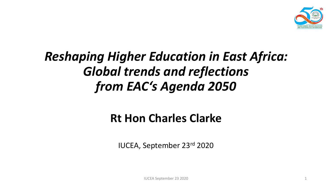

#### *Reshaping Higher Education in East Africa: Global trends and reflections from EAC's Agenda 2050*

#### **Rt Hon Charles Clarke**

IUCEA, September 23rd 2020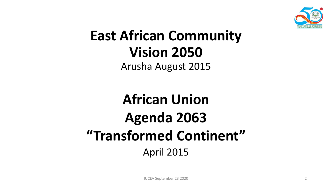

# **East African Community Vision 2050**

Arusha August 2015

## **African Union Agenda 2063 "Transformed Continent"** April 2015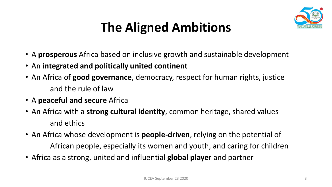

### **The Aligned Ambitions**

- A **prosperous** Africa based on inclusive growth and sustainable development
- An **integrated and politically united continent**
- An Africa of **good governance**, democracy, respect for human rights, justice and the rule of law
- A **peaceful and secure** Africa
- An Africa with a **strong cultural identity**, common heritage, shared values and ethics
- An Africa whose development is **people-driven**, relying on the potential of African people, especially its women and youth, and caring for children
- Africa as a strong, united and influential **global player** and partner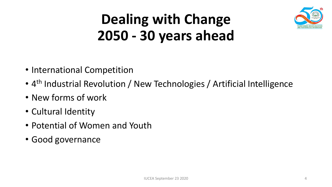

## **Dealing with Change 2050 - 30 years ahead**

- International Competition
- 4<sup>th</sup> Industrial Revolution / New Technologies / Artificial Intelligence
- New forms of work
- Cultural Identity
- Potential of Women and Youth
- Good governance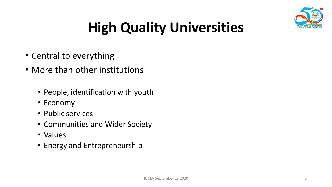

# **High Quality Universities**

- Central to everything
- More than other institutions
	- People, identification with youth
	- Economy
	- Public services
	- Communities and Wider Society
	- Values
	- Energy and Entrepreneurship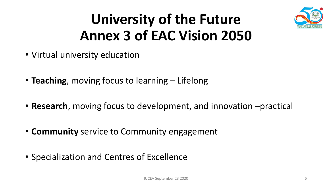

## **University of the Future Annex 3 of EAC Vision 2050**

- Virtual university education
- **Teaching**, moving focus to learning Lifelong
- **Research**, moving focus to development, and innovation –practical
- **Community** service to Community engagement
- Specialization and Centres of Excellence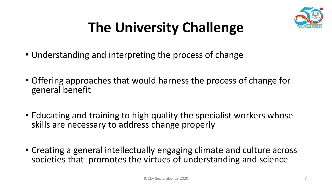

# **The University Challenge**

- Understanding and interpreting the process of change
- Offering approaches that would harness the process of change for general benefit
- Educating and training to high quality the specialist workers whose skills are necessary to address change properly
- Creating a general intellectually engaging climate and culture across societies that promotes the virtues of understanding and science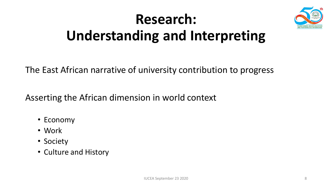# **Research: Understanding and Interpreting**



Asserting the African dimension in world context

- Economy
- Work
- Society
- Culture and History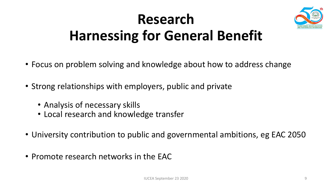

## **Research Harnessing for General Benefit**

- Focus on problem solving and knowledge about how to address change
- Strong relationships with employers, public and private
	- Analysis of necessary skills
	- Local research and knowledge transfer
- University contribution to public and governmental ambitions, eg EAC 2050
- Promote research networks in the EAC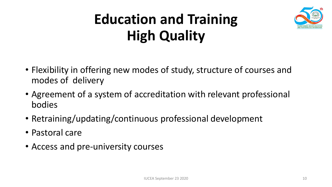# **Education and Training High Quality**



- Flexibility in offering new modes of study, structure of courses and modes of delivery
- Agreement of a system of accreditation with relevant professional bodies
- Retraining/updating/continuous professional development
- Pastoral care
- Access and pre-university courses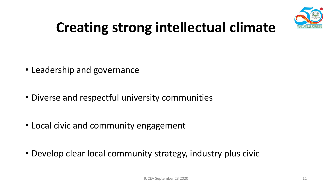

# **Creating strong intellectual climate**

- Leadership and governance
- Diverse and respectful university communities
- Local civic and community engagement
- Develop clear local community strategy, industry plus civic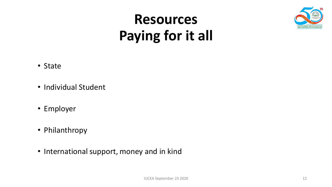

## **Resources Paying for it all**

- State
- Individual Student
- Employer
- Philanthropy
- International support, money and in kind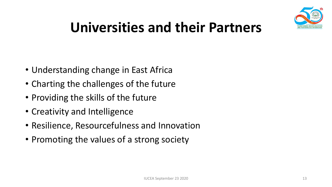

## **Universities and their Partners**

- Understanding change in East Africa
- Charting the challenges of the future
- Providing the skills of the future
- Creativity and Intelligence
- Resilience, Resourcefulness and Innovation
- Promoting the values of a strong society